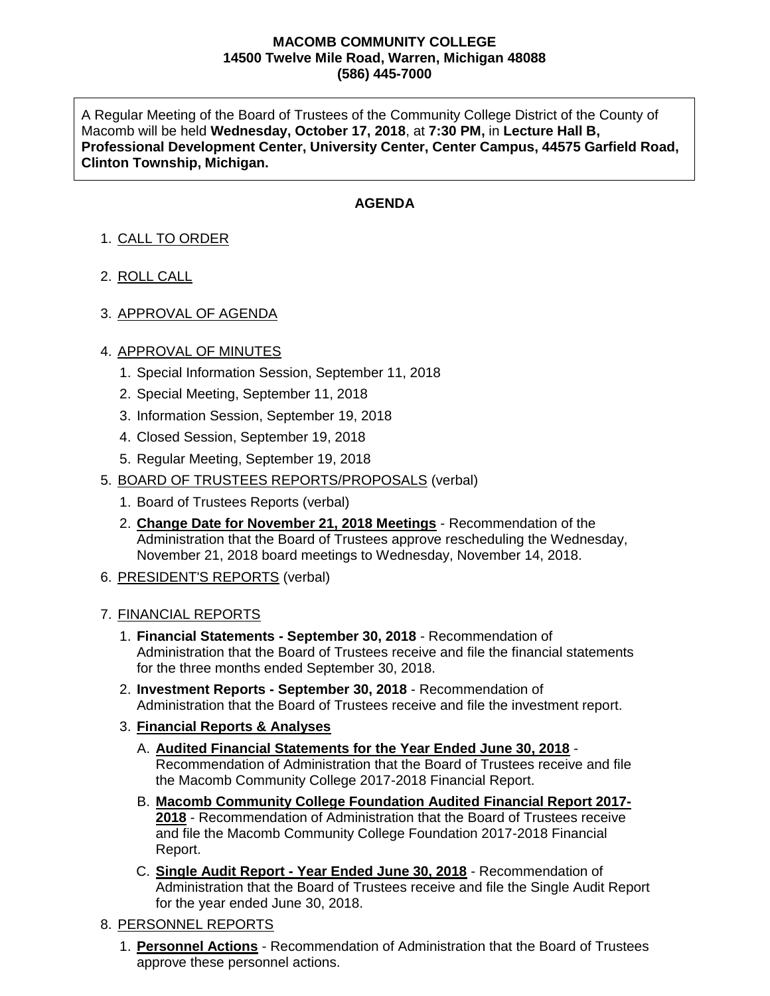#### **MACOMB COMMUNITY COLLEGE 14500 Twelve Mile Road, Warren, Michigan 48088 (586) 445-7000**

A Regular Meeting of the Board of Trustees of the Community College District of the County of Macomb will be held **Wednesday, October 17, 2018**, at **7:30 PM,** in **Lecture Hall B, Professional Development Center, University Center, Center Campus, 44575 Garfield Road, Clinton Township, Michigan.**

## **AGENDA**

# 1. CALL TO ORDER

- 2. ROLL CALL
- 3. APPROVAL OF AGENDA

## 4. APPROVAL OF MINUTES

- 1. Special Information Session, September 11, 2018
- 2. Special Meeting, September 11, 2018
- 3. Information Session, September 19, 2018
- 4. Closed Session, September 19, 2018
- 5. Regular Meeting, September 19, 2018
- 5. BOARD OF TRUSTEES REPORTS/PROPOSALS (verbal)
	- 1. Board of Trustees Reports (verbal)
	- 2. **Change Date for November 21, 2018 Meetings** Recommendation of the Administration that the Board of Trustees approve rescheduling the Wednesday, November 21, 2018 board meetings to Wednesday, November 14, 2018.
- 6. PRESIDENT'S REPORTS (verbal)

#### 7. FINANCIAL REPORTS

- 1. **Financial Statements - September 30, 2018** Recommendation of Administration that the Board of Trustees receive and file the financial statements for the three months ended September 30, 2018.
- 2. **Investment Reports - September 30, 2018** Recommendation of Administration that the Board of Trustees receive and file the investment report.
- 3. **Financial Reports & Analyses**
	- A. **Audited Financial Statements for the Year Ended June 30, 2018** Recommendation of Administration that the Board of Trustees receive and file the Macomb Community College 2017-2018 Financial Report.
	- B. **Macomb Community College Foundation Audited Financial Report 2017- 2018** - Recommendation of Administration that the Board of Trustees receive and file the Macomb Community College Foundation 2017-2018 Financial Report.
	- C. **Single Audit Report - Year Ended June 30, 2018** Recommendation of Administration that the Board of Trustees receive and file the Single Audit Report for the year ended June 30, 2018.

## 8. PERSONNEL REPORTS

1. **Personnel Actions** - Recommendation of Administration that the Board of Trustees approve these personnel actions.